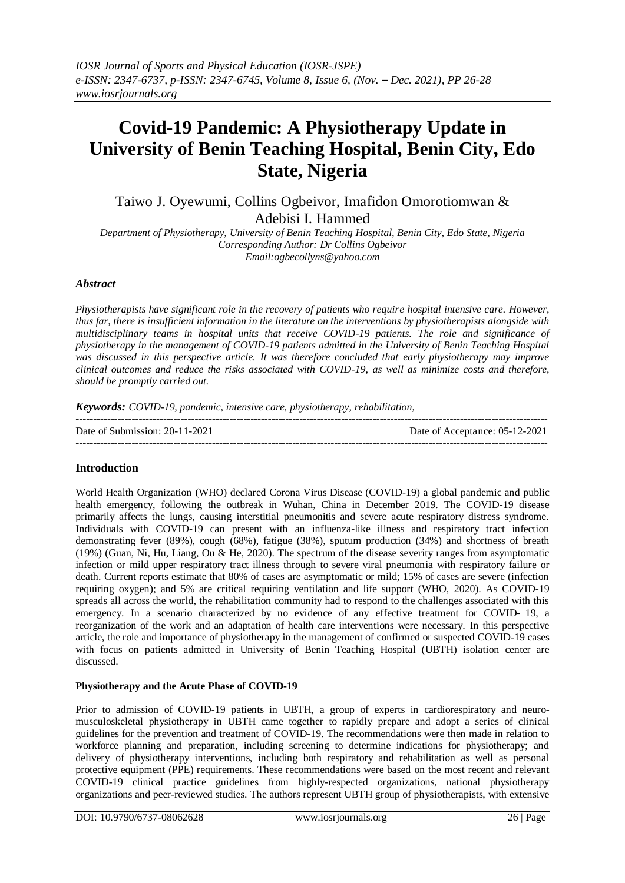# **Covid-19 Pandemic: A Physiotherapy Update in University of Benin Teaching Hospital, Benin City, Edo State, Nigeria**

Taiwo J. Oyewumi, Collins Ogbeivor, Imafidon Omorotiomwan & Adebisi I. Hammed

*Department of Physiotherapy, University of Benin Teaching Hospital, Benin City, Edo State, Nigeria Corresponding Author: Dr Collins Ogbeivor Email:ogbecollyns@yahoo.com*

## *Abstract*

*Physiotherapists have significant role in the recovery of patients who require hospital intensive care. However, thus far, there is insufficient information in the literature on the interventions by physiotherapists alongside with multidisciplinary teams in hospital units that receive COVID-19 patients. The role and significance of physiotherapy in the management of COVID-19 patients admitted in the University of Benin Teaching Hospital was discussed in this perspective article. It was therefore concluded that early physiotherapy may improve clinical outcomes and reduce the risks associated with COVID-19, as well as minimize costs and therefore, should be promptly carried out.*

*Keywords: COVID-19, pandemic, intensive care, physiotherapy, rehabilitation,* 

| Date of Submission: $20-11-2021$ | Date of Acceptance: 05-12-2021 |
|----------------------------------|--------------------------------|
|                                  |                                |

# **Introduction**

World Health Organization (WHO) declared Corona Virus Disease (COVID-19) a global pandemic and public health emergency, following the outbreak in Wuhan, China in December 2019. The COVID-19 disease primarily affects the lungs, causing interstitial pneumonitis and severe acute respiratory distress syndrome. Individuals with COVID-19 can present with an influenza-like illness and respiratory tract infection demonstrating fever (89%), cough (68%), fatigue (38%), sputum production (34%) and shortness of breath (19%) (Guan, Ni, Hu, Liang, Ou & He, 2020). The spectrum of the disease severity ranges from asymptomatic infection or mild upper respiratory tract illness through to severe viral pneumonia with respiratory failure or death. Current reports estimate that 80% of cases are asymptomatic or mild; 15% of cases are severe (infection requiring oxygen); and 5% are critical requiring ventilation and life support (WHO, 2020). As COVID-19 spreads all across the world, the rehabilitation community had to respond to the challenges associated with this emergency. In a scenario characterized by no evidence of any effective treatment for COVID- 19, a reorganization of the work and an adaptation of health care interventions were necessary. In this perspective article, the role and importance of physiotherapy in the management of confirmed or suspected COVID-19 cases with focus on patients admitted in University of Benin Teaching Hospital (UBTH) isolation center are discussed.

### **Physiotherapy and the Acute Phase of COVID-19**

Prior to admission of COVID-19 patients in UBTH, a group of experts in cardiorespiratory and neuromusculoskeletal physiotherapy in UBTH came together to rapidly prepare and adopt a series of clinical guidelines for the prevention and treatment of COVID-19. The recommendations were then made in relation to workforce planning and preparation, including screening to determine indications for physiotherapy; and delivery of physiotherapy interventions, including both respiratory and rehabilitation as well as personal protective equipment (PPE) requirements. These recommendations were based on the most recent and relevant COVID-19 clinical practice guidelines from highly-respected organizations, national physiotherapy organizations and peer-reviewed studies. The authors represent UBTH group of physiotherapists, with extensive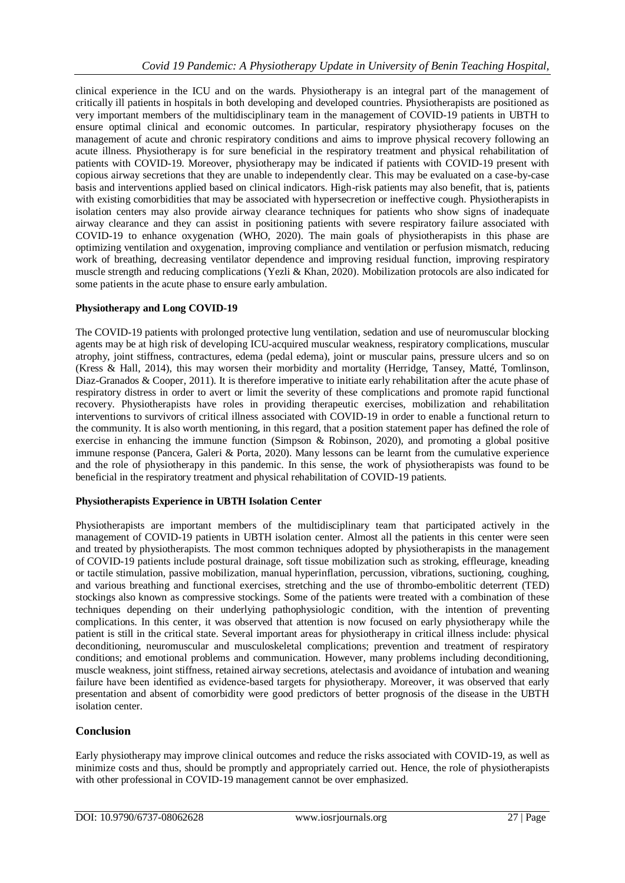clinical experience in the ICU and on the wards. Physiotherapy is an integral part of the management of critically ill patients in hospitals in both developing and developed countries. Physiotherapists are positioned as very important members of the multidisciplinary team in the management of COVID-19 patients in UBTH to ensure optimal clinical and economic outcomes. In particular, respiratory physiotherapy focuses on the management of acute and chronic respiratory conditions and aims to improve physical recovery following an acute illness. Physiotherapy is for sure beneficial in the respiratory treatment and physical rehabilitation of patients with COVID-19. Moreover, physiotherapy may be indicated if patients with COVID-19 present with copious airway secretions that they are unable to independently clear. This may be evaluated on a case-by-case basis and interventions applied based on clinical indicators. High-risk patients may also benefit, that is, patients with existing comorbidities that may be associated with hypersecretion or ineffective cough. Physiotherapists in isolation centers may also provide airway clearance techniques for patients who show signs of inadequate airway clearance and they can assist in positioning patients with severe respiratory failure associated with COVID-19 to enhance oxygenation (WHO, 2020). The main goals of physiotherapists in this phase are optimizing ventilation and oxygenation, improving compliance and ventilation or perfusion mismatch, reducing work of breathing, decreasing ventilator dependence and improving residual function, improving respiratory muscle strength and reducing complications (Yezli & Khan, 2020). Mobilization protocols are also indicated for some patients in the acute phase to ensure early ambulation.

### **Physiotherapy and Long COVID-19**

The COVID-19 patients with prolonged protective lung ventilation, sedation and use of neuromuscular blocking agents may be at high risk of developing ICU-acquired muscular weakness, respiratory complications, muscular atrophy, joint stiffness, contractures, edema (pedal edema), joint or muscular pains, pressure ulcers and so on (Kress & Hall, 2014), this may worsen their morbidity and mortality (Herridge, Tansey, Matté, Tomlinson, Diaz-Granados & Cooper, 2011). It is therefore imperative to initiate early rehabilitation after the acute phase of respiratory distress in order to avert or limit the severity of these complications and promote rapid functional recovery. Physiotherapists have roles in providing therapeutic exercises, mobilization and rehabilitation interventions to survivors of critical illness associated with COVID-19 in order to enable a functional return to the community. It is also worth mentioning, in this regard, that a position statement paper has defined the role of exercise in enhancing the immune function (Simpson & Robinson, 2020), and promoting a global positive immune response (Pancera, Galeri & Porta, 2020). Many lessons can be learnt from the cumulative experience and the role of physiotherapy in this pandemic. In this sense, the work of physiotherapists was found to be beneficial in the respiratory treatment and physical rehabilitation of COVID-19 patients.

#### **Physiotherapists Experience in UBTH Isolation Center**

Physiotherapists are important members of the multidisciplinary team that participated actively in the management of COVID-19 patients in UBTH isolation center. Almost all the patients in this center were seen and treated by physiotherapists. The most common techniques adopted by physiotherapists in the management of COVID-19 patients include postural drainage, soft tissue mobilization such as stroking, effleurage, kneading or tactile stimulation, passive mobilization, manual hyperinflation, percussion, vibrations, suctioning, coughing, and various breathing and functional exercises, stretching and the use of thrombo-embolitic deterrent (TED) stockings also known as compressive stockings. Some of the patients were treated with a combination of these techniques depending on their underlying pathophysiologic condition, with the intention of preventing complications. In this center, it was observed that attention is now focused on early physiotherapy while the patient is still in the critical state. Several important areas for physiotherapy in critical illness include: physical deconditioning, neuromuscular and musculoskeletal complications; prevention and treatment of respiratory conditions; and emotional problems and communication. However, many problems including deconditioning, muscle weakness, joint stiffness, retained airway secretions, atelectasis and avoidance of intubation and weaning failure have been identified as evidence-based targets for physiotherapy. Moreover, it was observed that early presentation and absent of comorbidity were good predictors of better prognosis of the disease in the UBTH isolation center.

## **Conclusion**

Early physiotherapy may improve clinical outcomes and reduce the risks associated with COVID-19, as well as minimize costs and thus, should be promptly and appropriately carried out. Hence, the role of physiotherapists with other professional in COVID-19 management cannot be over emphasized.